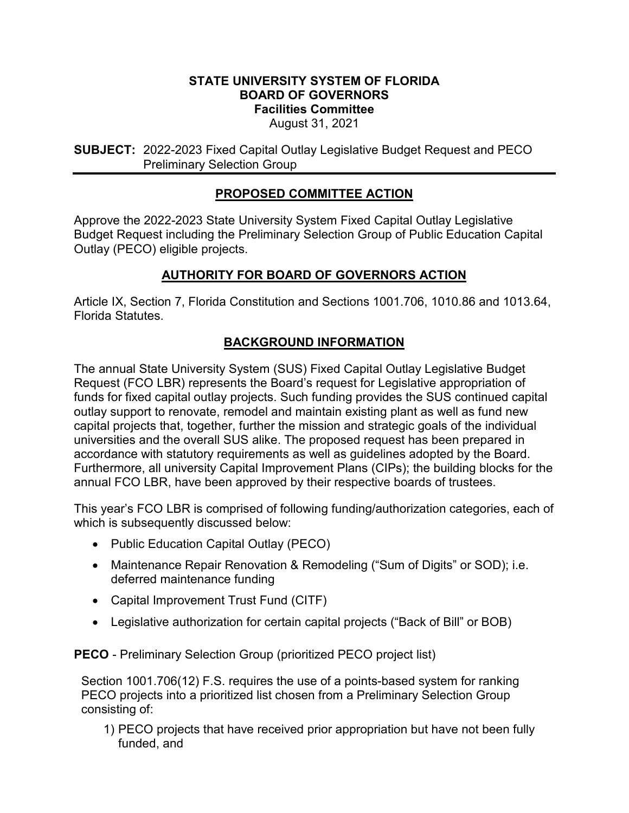#### **STATE UNIVERSITY SYSTEM OF FLORIDA BOARD OF GOVERNORS Facilities Committee** August 31, 2021

**SUBJECT:** 2022-2023 Fixed Capital Outlay Legislative Budget Request and PECO Preliminary Selection Group

# **PROPOSED COMMITTEE ACTION**

Approve the 2022-2023 State University System Fixed Capital Outlay Legislative Budget Request including the Preliminary Selection Group of Public Education Capital Outlay (PECO) eligible projects.

# **AUTHORITY FOR BOARD OF GOVERNORS ACTION**

Article IX, Section 7, Florida Constitution and Sections 1001.706, 1010.86 and 1013.64, Florida Statutes.

# **BACKGROUND INFORMATION**

The annual State University System (SUS) Fixed Capital Outlay Legislative Budget Request (FCO LBR) represents the Board's request for Legislative appropriation of funds for fixed capital outlay projects. Such funding provides the SUS continued capital outlay support to renovate, remodel and maintain existing plant as well as fund new capital projects that, together, further the mission and strategic goals of the individual universities and the overall SUS alike. The proposed request has been prepared in accordance with statutory requirements as well as guidelines adopted by the Board. Furthermore, all university Capital Improvement Plans (CIPs); the building blocks for the annual FCO LBR, have been approved by their respective boards of trustees.

This year's FCO LBR is comprised of following funding/authorization categories, each of which is subsequently discussed below:

- Public Education Capital Outlay (PECO)
- Maintenance Repair Renovation & Remodeling ("Sum of Digits" or SOD); i.e. deferred maintenance funding
- Capital Improvement Trust Fund (CITF)
- Legislative authorization for certain capital projects ("Back of Bill" or BOB)

**PECO** - Preliminary Selection Group (prioritized PECO project list)

Section 1001.706(12) F.S. requires the use of a points-based system for ranking PECO projects into a prioritized list chosen from a Preliminary Selection Group consisting of:

1) PECO projects that have received prior appropriation but have not been fully funded, and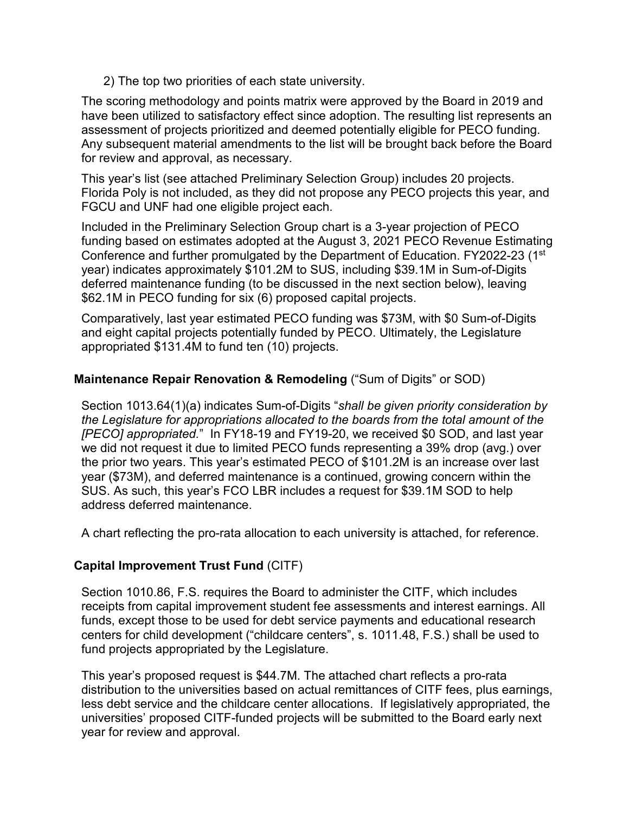2) The top two priorities of each state university.

The scoring methodology and points matrix were approved by the Board in 2019 and have been utilized to satisfactory effect since adoption. The resulting list represents an assessment of projects prioritized and deemed potentially eligible for PECO funding. Any subsequent material amendments to the list will be brought back before the Board for review and approval, as necessary.

This year's list (see attached Preliminary Selection Group) includes 20 projects. Florida Poly is not included, as they did not propose any PECO projects this year, and FGCU and UNF had one eligible project each.

Included in the Preliminary Selection Group chart is a 3-year projection of PECO funding based on estimates adopted at the August 3, 2021 PECO Revenue Estimating Conference and further promulgated by the Department of Education. FY2022-23 (1st) year) indicates approximately \$101.2M to SUS, including \$39.1M in Sum-of-Digits deferred maintenance funding (to be discussed in the next section below), leaving \$62.1M in PECO funding for six (6) proposed capital projects.

Comparatively, last year estimated PECO funding was \$73M, with \$0 Sum-of-Digits and eight capital projects potentially funded by PECO. Ultimately, the Legislature appropriated \$131.4M to fund ten (10) projects.

#### **Maintenance Repair Renovation & Remodeling** ("Sum of Digits" or SOD)

Section 1013.64(1)(a) indicates Sum-of-Digits "*shall be given priority consideration by the Legislature for appropriations allocated to the boards from the total amount of the [PECO] appropriated.*" In FY18-19 and FY19-20, we received \$0 SOD, and last year we did not request it due to limited PECO funds representing a 39% drop (avg.) over the prior two years. This year's estimated PECO of \$101.2M is an increase over last year (\$73M), and deferred maintenance is a continued, growing concern within the SUS. As such, this year's FCO LBR includes a request for \$39.1M SOD to help address deferred maintenance.

A chart reflecting the pro-rata allocation to each university is attached, for reference.

### **Capital Improvement Trust Fund** (CITF)

Section 1010.86, F.S. requires the Board to administer the CITF, which includes receipts from capital improvement student fee assessments and interest earnings. All funds, except those to be used for debt service payments and educational research centers for child development ("childcare centers", s. 1011.48, F.S.) shall be used to fund projects appropriated by the Legislature.

This year's proposed request is \$44.7M. The attached chart reflects a pro-rata distribution to the universities based on actual remittances of CITF fees, plus earnings, less debt service and the childcare center allocations. If legislatively appropriated, the universities' proposed CITF-funded projects will be submitted to the Board early next year for review and approval.